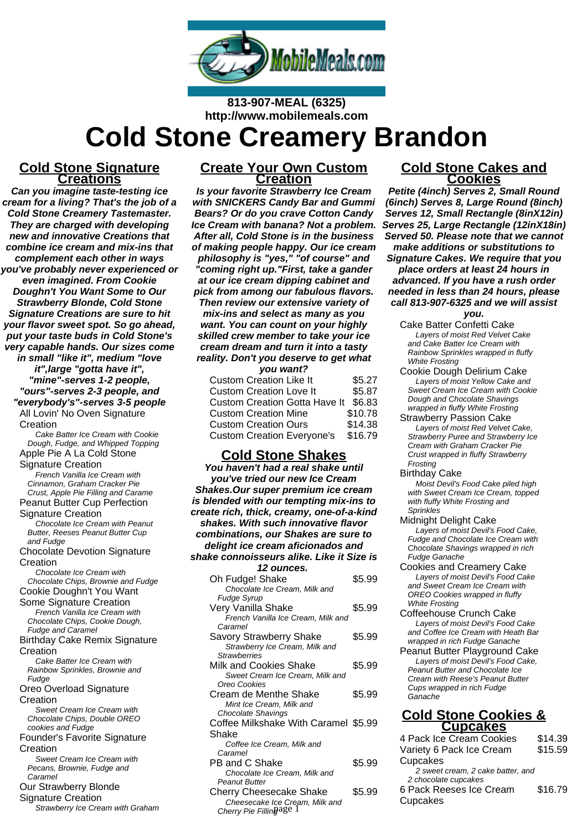

**813-907-MEAL (6325) http://www.mobilemeals.com**

# **Cold Stone Creamery Brandon**

### **Cold Stone Signature Creations**

**Can you imagine taste-testing ice cream for a living? That's the job of a Cold Stone Creamery Tastemaster. They are charged with developing new and innovative Creations that combine ice cream and mix-ins that complement each other in ways you've probably never experienced or even imagined. From Cookie Doughn't You Want Some to Our Strawberry Blonde, Cold Stone Signature Creations are sure to hit your flavor sweet spot. So go ahead, put your taste buds in Cold Stone's very capable hands. Our sizes come in small "like it", medium "love it",large "gotta have it", "mine"-serves 1-2 people, "ours"-serves 2-3 people, and "everybody's"-serves 3-5 people** All Lovin' No Oven Signature Creation Cake Batter Ice Cream with Cookie Dough, Fudge, and Whipped Topping Apple Pie A La Cold Stone Signature Creation French Vanilla Ice Cream with Cinnamon, Graham Cracker Pie Crust, Apple Pie Filling and Carame Peanut Butter Cup Perfection Signature Creation Chocolate Ice Cream with Peanut Butter, Reeses Peanut Butter Cup and Fudge Chocolate Devotion Signature **Creation** Chocolate Ice Cream with Chocolate Chips, Brownie and Fudge Cookie Doughn't You Want Some Signature Creation French Vanilla Ice Cream with Chocolate Chips, Cookie Dough, Fudge and Caramel Birthday Cake Remix Signature **Creation** Cake Batter Ice Cream with Rainbow Sprinkles, Brownie and Fudge Oreo Overload Signature **Creation** Sweet Cream Ice Cream with Chocolate Chips, Double OREO cookies and Fudge Founder's Favorite Signature **Creation** Sweet Cream Ice Cream with Pecans, Brownie, Fudge and Caramel Our Strawberry Blonde

Signature Creation

Strawberry Ice Cream with Graham

# **Create Your Own Custom Creation**

**Is your favorite Strawberry Ice Cream with SNICKERS Candy Bar and Gummi Bears? Or do you crave Cotton Candy Ice Cream with banana? Not a problem. After all, Cold Stone is in the business of making people happy. Our ice cream philosophy is "yes," "of course" and "coming right up."First, take a gander at our ice cream dipping cabinet and pick from among our fabulous flavors. Then review our extensive variety of mix-ins and select as many as you want. You can count on your highly skilled crew member to take your ice cream dream and turn it into a tasty reality. Don't you deserve to get what**

| you want?                            |         |
|--------------------------------------|---------|
| <b>Custom Creation Like It</b>       | \$5.27  |
| <b>Custom Creation Love It</b>       | \$5.87  |
| <b>Custom Creation Gotta Have It</b> | \$6.83  |
| <b>Custom Creation Mine</b>          | \$10.78 |
| <b>Custom Creation Ours</b>          | \$14.38 |
| <b>Custom Creation Everyone's</b>    | \$16.79 |

# **Cold Stone Shakes**

**You haven't had a real shake until you've tried our new Ice Cream Shakes.Our super premium ice cream is blended with our tempting mix-ins to create rich, thick, creamy, one-of-a-kind shakes. With such innovative flavor combinations, our Shakes are sure to delight ice cream aficionados and shake connoisseurs alike. Like it Size is 12 ounces.** Oh Fudge! Shake \$5.99 Chocolate Ice Cream, Milk and Fudge Syrup Very Vanilla Shake  $$5.99$ French Vanilla Ice Cream, Milk and Caramel Savory Strawberry Shake \$5.99 Strawberry Ice Cream, Milk and **Strawberries** Milk and Cookies Shake \$5.99 Sweet Cream Ice Cream, Milk and Oreo Cookies Cream de Menthe Shake \$5.99 Mint Ice Cream, Milk and Chocolate Shavings Coffee Milkshake With Caramel \$5.99 Shake Coffee Ice Cream, Milk and Caramel PB and C Shake \$5.99 Chocolate Ice Cream, Milk and Peanut Butter Cherry Cheesecake Shake \$5.99

Cheesecake Ice Cream, Milk and

Cherry Pie Fillingage 1

Peanut Butter Playground Cake Layers of moist Devil's Food Cake, Peanut Butter and Chocolate Ice Cream with Reese's Peanut Butter Cups wrapped in rich Fudge

| ________                          |         |
|-----------------------------------|---------|
| 4 Pack Ice Cream Cookies          | \$14.39 |
| Variety 6 Pack Ice Cream          | \$15.59 |
| Cupcakes                          |         |
| 2 sweet cream, 2 cake batter, and |         |
| 2 chocolate cupcakes              |         |
| 6 Pack Reeses Ice Cream           | \$16.79 |
| Cupcakes                          |         |
|                                   |         |

# **Cold Stone Cakes and Cookies**

**Petite (4inch) Serves 2, Small Round (6inch) Serves 8, Large Round (8inch) Serves 12, Small Rectangle (8inX12in) Serves 25, Large Rectangle (12inX18in) Served 50. Please note that we cannot make additions or substitutions to Signature Cakes. We require that you place orders at least 24 hours in advanced. If you have a rush order needed in less than 24 hours, please call 813-907-6325 and we will assist**

**you.**

- Cake Batter Confetti Cake Layers of moist Red Velvet Cake and Cake Batter Ice Cream with Rainbow Sprinkles wrapped in fluffy White Frosting
- Cookie Dough Delirium Cake Layers of moist Yellow Cake and Sweet Cream Ice Cream with Cookie Dough and Chocolate Shavings wrapped in fluffy White Frosting
- Strawberry Passion Cake Layers of moist Red Velvet Cake, Strawberry Puree and Strawberry Ice Cream with Graham Cracker Pie Crust wrapped in fluffy Strawberry Frosting
- Birthday Cake

Moist Devil's Food Cake piled high with Sweet Cream Ice Cream, topped with fluffy White Frosting and **Sprinkles** 

- Midnight Delight Cake Layers of moist Devil's Food Cake, Fudge and Chocolate Ice Cream with Chocolate Shavings wrapped in rich Fudge Ganache
- Cookies and Creamery Cake Layers of moist Devil's Food Cake and Sweet Cream Ice Cream with OREO Cookies wrapped in fluffy White Frosting
- Coffeehouse Crunch Cake Layers of moist Devil's Food Cake and Coffee Ice Cream with Heath Bar wrapped in rich Fudge Ganache
- Ganache **Cold Stone Cookies & Cupcakes**